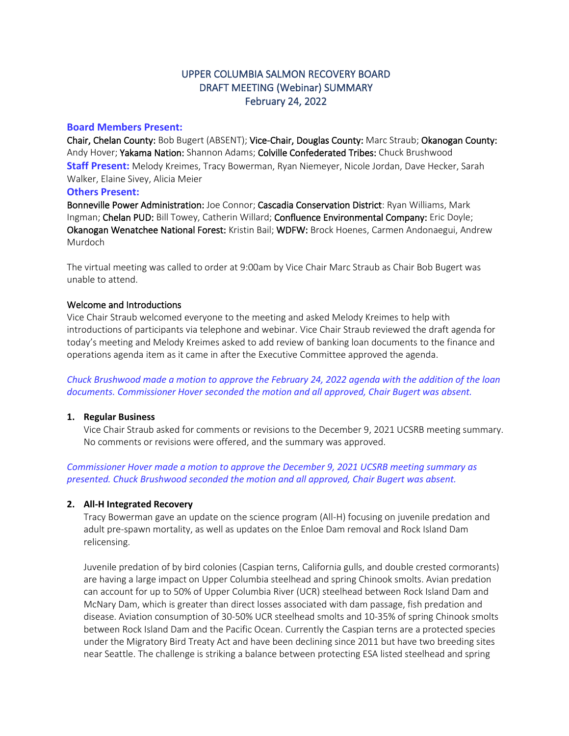# UPPER COLUMBIA SALMON RECOVERY BOARD DRAFT MEETING (Webinar) SUMMARY February 24, 2022

# **Board Members Present:**

Chair, Chelan County: Bob Bugert (ABSENT); Vice-Chair, Douglas County: Marc Straub; Okanogan County: Andy Hover; Yakama Nation: Shannon Adams; Colville Confederated Tribes: Chuck Brushwood **Staff Present:** Melody Kreimes, Tracy Bowerman, Ryan Niemeyer, Nicole Jordan, Dave Hecker, Sarah Walker, Elaine Sivey, Alicia Meier

# **Others Present:**

Bonneville Power Administration: Joe Connor; Cascadia Conservation District: Ryan Williams, Mark Ingman; Chelan PUD: Bill Towey, Catherin Willard; Confluence Environmental Company: Eric Doyle; Okanogan Wenatchee National Forest: Kristin Bail; WDFW: Brock Hoenes, Carmen Andonaegui, Andrew Murdoch

The virtual meeting was called to order at 9:00am by Vice Chair Marc Straub as Chair Bob Bugert was unable to attend.

# Welcome and Introductions

Vice Chair Straub welcomed everyone to the meeting and asked Melody Kreimes to help with introductions of participants via telephone and webinar. Vice Chair Straub reviewed the draft agenda for today's meeting and Melody Kreimes asked to add review of banking loan documents to the finance and operations agenda item as it came in after the Executive Committee approved the agenda.

*Chuck Brushwood made a motion to approve the February 24, 2022 agenda with the addition of the loan documents. Commissioner Hover seconded the motion and all approved, Chair Bugert was absent.*

# **1. Regular Business**

Vice Chair Straub asked for comments or revisions to the December 9, 2021 UCSRB meeting summary. No comments or revisions were offered, and the summary was approved.

*Commissioner Hover made a motion to approve the December 9, 2021 UCSRB meeting summary as presented. Chuck Brushwood seconded the motion and all approved, Chair Bugert was absent.*

# **2. All-H Integrated Recovery**

Tracy Bowerman gave an update on the science program (All-H) focusing on juvenile predation and adult pre-spawn mortality, as well as updates on the Enloe Dam removal and Rock Island Dam relicensing.

Juvenile predation of by bird colonies (Caspian terns, California gulls, and double crested cormorants) are having a large impact on Upper Columbia steelhead and spring Chinook smolts. Avian predation can account for up to 50% of Upper Columbia River (UCR) steelhead between Rock Island Dam and McNary Dam, which is greater than direct losses associated with dam passage, fish predation and disease. Aviation consumption of 30-50% UCR steelhead smolts and 10-35% of spring Chinook smolts between Rock Island Dam and the Pacific Ocean. Currently the Caspian terns are a protected species under the Migratory Bird Treaty Act and have been declining since 2011 but have two breeding sites near Seattle. The challenge is striking a balance between protecting ESA listed steelhead and spring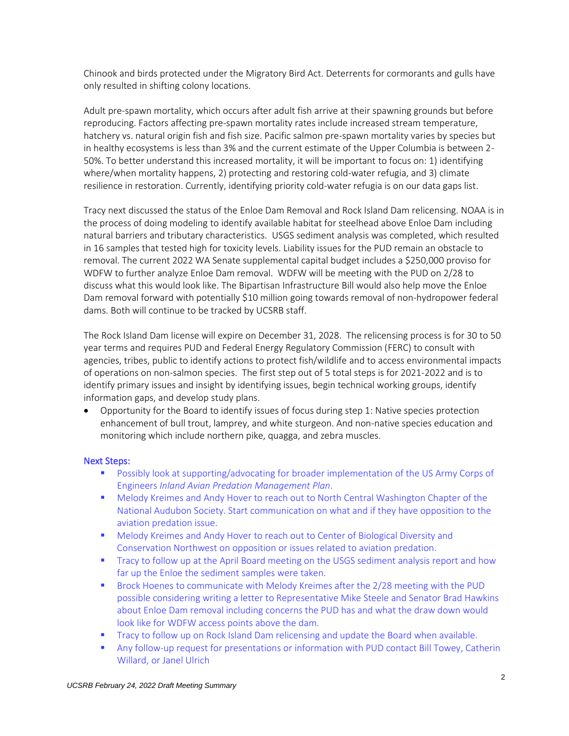Chinook and birds protected under the Migratory Bird Act. Deterrents for cormorants and gulls have only resulted in shifting colony locations.

Adult pre-spawn mortality, which occurs after adult fish arrive at their spawning grounds but before reproducing. Factors affecting pre-spawn mortality rates include increased stream temperature, hatchery vs. natural origin fish and fish size. Pacific salmon pre-spawn mortality varies by species but in healthy ecosystems is less than 3% and the current estimate of the Upper Columbia is between 2- 50%. To better understand this increased mortality, it will be important to focus on: 1) identifying where/when mortality happens, 2) protecting and restoring cold-water refugia, and 3) climate resilience in restoration. Currently, identifying priority cold-water refugia is on our data gaps list.

Tracy next discussed the status of the Enloe Dam Removal and Rock Island Dam relicensing. NOAA is in the process of doing modeling to identify available habitat for steelhead above Enloe Dam including natural barriers and tributary characteristics. USGS sediment analysis was completed, which resulted in 16 samples that tested high for toxicity levels. Liability issues for the PUD remain an obstacle to removal. The current 2022 WA Senate supplemental capital budget includes a \$250,000 proviso for WDFW to further analyze Enloe Dam removal. WDFW will be meeting with the PUD on 2/28 to discuss what this would look like. The Bipartisan Infrastructure Bill would also help move the Enloe Dam removal forward with potentially \$10 million going towards removal of non-hydropower federal dams. Both will continue to be tracked by UCSRB staff.

The Rock Island Dam license will expire on December 31, 2028. The relicensing process is for 30 to 50 year terms and requires PUD and Federal Energy Regulatory Commission (FERC) to consult with agencies, tribes, public to identify actions to protect fish/wildlife and to access environmental impacts of operations on non-salmon species. The first step out of 5 total steps is for 2021-2022 and is to identify primary issues and insight by identifying issues, begin technical working groups, identify information gaps, and develop study plans.

• Opportunity for the Board to identify issues of focus during step 1: Native species protection enhancement of bull trout, lamprey, and white sturgeon. And non-native species education and monitoring which include northern pike, quagga, and zebra muscles.

# Next Steps:

- **Possibly look at supporting/advocating for broader implementation of the US Army Corps of** Engineers *Inland Avian Predation Management Plan*.
- Melody Kreimes and Andy Hover to reach out to North Central Washington Chapter of the National Audubon Society. Start communication on what and if they have opposition to the aviation predation issue.
- **■** Melody Kreimes and Andy Hover to reach out to Center of Biological Diversity and Conservation Northwest on opposition or issues related to aviation predation.
- **The Tracy to follow up at the April Board meeting on the USGS sediment analysis report and how** far up the Enloe the sediment samples were taken.
- Brock Hoenes to communicate with Melody Kreimes after the 2/28 meeting with the PUD possible considering writing a letter to Representative Mike Steele and Senator Brad Hawkins about Enloe Dam removal including concerns the PUD has and what the draw down would look like for WDFW access points above the dam.
- **Tracy to follow up on Rock Island Dam relicensing and update the Board when available.**
- **EXECT Any follow-up request for presentations or information with PUD contact Bill Towey, Catherin** Willard, or Janel Ulrich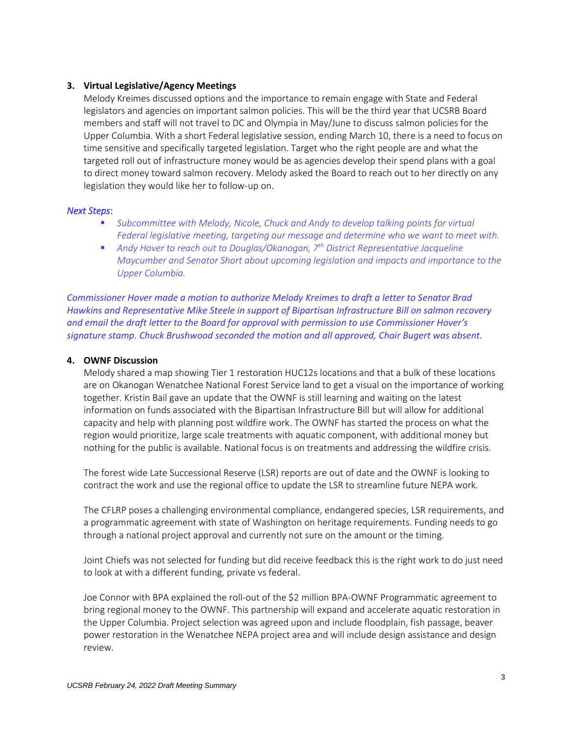# **3. Virtual Legislative/Agency Meetings**

Melody Kreimes discussed options and the importance to remain engage with State and Federal legislators and agencies on important salmon policies. This will be the third year that UCSRB Board members and staff will not travel to DC and Olympia in May/June to discuss salmon policies for the Upper Columbia. With a short Federal legislative session, ending March 10, there is a need to focus on time sensitive and specifically targeted legislation. Target who the right people are and what the targeted roll out of infrastructure money would be as agencies develop their spend plans with a goal to direct money toward salmon recovery. Melody asked the Board to reach out to her directly on any legislation they would like her to follow-up on.

#### *Next Steps*:

- Subcommittee with Melody, Nicole, Chuck and Andy to develop talking points for virtual *Federal legislative meeting, targeting our message and determine who we want to meet with.*
- *Andy Hover to reach out to Douglas/Okanogan, 7<sup>th</sup> District Representative Jacqueline Maycumber and Senator Short about upcoming legislation and impacts and importance to the Upper Columbia.*

*Commissioner Hover made a motion to authorize Melody Kreimes to draft a letter to Senator Brad Hawkins and Representative Mike Steele in support of Bipartisan Infrastructure Bill on salmon recovery and email the draft letter to the Board for approval with permission to use Commissioner Hover's signature stamp. Chuck Brushwood seconded the motion and all approved, Chair Bugert was absent.*

## **4. OWNF Discussion**

Melody shared a map showing Tier 1 restoration HUC12s locations and that a bulk of these locations are on Okanogan Wenatchee National Forest Service land to get a visual on the importance of working together. Kristin Bail gave an update that the OWNF is still learning and waiting on the latest information on funds associated with the Bipartisan Infrastructure Bill but will allow for additional capacity and help with planning post wildfire work. The OWNF has started the process on what the region would prioritize, large scale treatments with aquatic component, with additional money but nothing for the public is available. National focus is on treatments and addressing the wildfire crisis.

The forest wide Late Successional Reserve (LSR) reports are out of date and the OWNF is looking to contract the work and use the regional office to update the LSR to streamline future NEPA work.

The CFLRP poses a challenging environmental compliance, endangered species, LSR requirements, and a programmatic agreement with state of Washington on heritage requirements. Funding needs to go through a national project approval and currently not sure on the amount or the timing.

Joint Chiefs was not selected for funding but did receive feedback this is the right work to do just need to look at with a different funding, private vs federal.

Joe Connor with BPA explained the roll-out of the \$2 million BPA-OWNF Programmatic agreement to bring regional money to the OWNF. This partnership will expand and accelerate aquatic restoration in the Upper Columbia. Project selection was agreed upon and include floodplain, fish passage, beaver power restoration in the Wenatchee NEPA project area and will include design assistance and design review.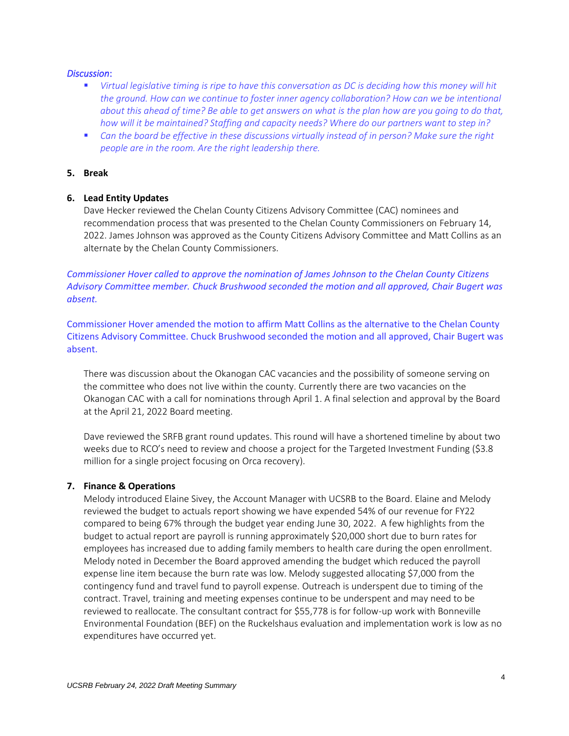## *Discussion*:

- *Virtual legislative timing is ripe to have this conversation as DC is deciding how this money will hit the ground. How can we continue to foster inner agency collaboration? How can we be intentional about this ahead of time? Be able to get answers on what is the plan how are you going to do that, how will it be maintained? Staffing and capacity needs? Where do our partners want to step in?*
- Can the board be effective in these discussions virtually instead of in person? Make sure the right *people are in the room. Are the right leadership there.*

### **5. Break**

## **6. Lead Entity Updates**

Dave Hecker reviewed the Chelan County Citizens Advisory Committee (CAC) nominees and recommendation process that was presented to the Chelan County Commissioners on February 14, 2022. James Johnson was approved as the County Citizens Advisory Committee and Matt Collins as an alternate by the Chelan County Commissioners.

*Commissioner Hover called to approve the nomination of James Johnson to the Chelan County Citizens Advisory Committee member. Chuck Brushwood seconded the motion and all approved, Chair Bugert was absent.*

Commissioner Hover amended the motion to affirm Matt Collins as the alternative to the Chelan County Citizens Advisory Committee. Chuck Brushwood seconded the motion and all approved, Chair Bugert was absent.

There was discussion about the Okanogan CAC vacancies and the possibility of someone serving on the committee who does not live within the county. Currently there are two vacancies on the Okanogan CAC with a call for nominations through April 1. A final selection and approval by the Board at the April 21, 2022 Board meeting.

Dave reviewed the SRFB grant round updates. This round will have a shortened timeline by about two weeks due to RCO's need to review and choose a project for the Targeted Investment Funding (\$3.8 million for a single project focusing on Orca recovery).

#### **7. Finance & Operations**

Melody introduced Elaine Sivey, the Account Manager with UCSRB to the Board. Elaine and Melody reviewed the budget to actuals report showing we have expended 54% of our revenue for FY22 compared to being 67% through the budget year ending June 30, 2022. A few highlights from the budget to actual report are payroll is running approximately \$20,000 short due to burn rates for employees has increased due to adding family members to health care during the open enrollment. Melody noted in December the Board approved amending the budget which reduced the payroll expense line item because the burn rate was low. Melody suggested allocating \$7,000 from the contingency fund and travel fund to payroll expense. Outreach is underspent due to timing of the contract. Travel, training and meeting expenses continue to be underspent and may need to be reviewed to reallocate. The consultant contract for \$55,778 is for follow-up work with Bonneville Environmental Foundation (BEF) on the Ruckelshaus evaluation and implementation work is low as no expenditures have occurred yet.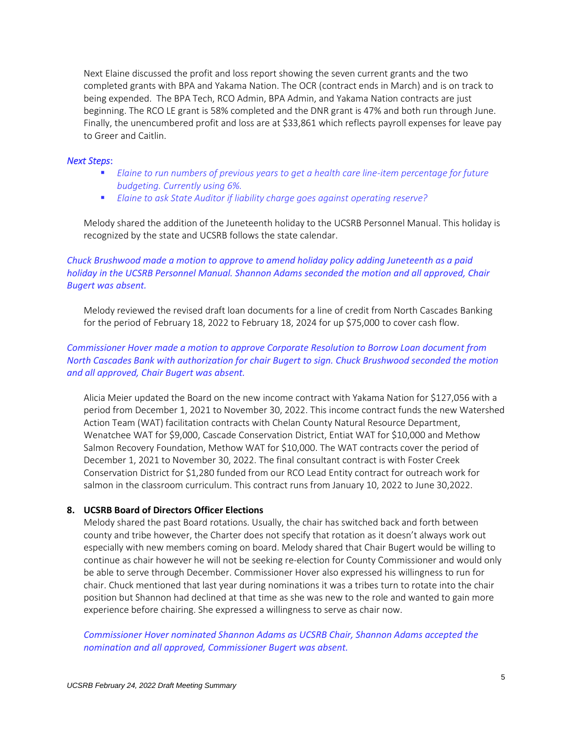Next Elaine discussed the profit and loss report showing the seven current grants and the two completed grants with BPA and Yakama Nation. The OCR (contract ends in March) and is on track to being expended. The BPA Tech, RCO Admin, BPA Admin, and Yakama Nation contracts are just beginning. The RCO LE grant is 58% completed and the DNR grant is 47% and both run through June. Finally, the unencumbered profit and loss are at \$33,861 which reflects payroll expenses for leave pay to Greer and Caitlin.

#### *Next Steps*:

- *Elaine to run numbers of previous years to get a health care line-item percentage for future budgeting. Currently using 6%.*
- *Elaine to ask State Auditor if liability charge goes against operating reserve?*

Melody shared the addition of the Juneteenth holiday to the UCSRB Personnel Manual. This holiday is recognized by the state and UCSRB follows the state calendar.

*Chuck Brushwood made a motion to approve to amend holiday policy adding Juneteenth as a paid holiday in the UCSRB Personnel Manual. Shannon Adams seconded the motion and all approved, Chair Bugert was absent.*

Melody reviewed the revised draft loan documents for a line of credit from North Cascades Banking for the period of February 18, 2022 to February 18, 2024 for up \$75,000 to cover cash flow.

# *Commissioner Hover made a motion to approve Corporate Resolution to Borrow Loan document from North Cascades Bank with authorization for chair Bugert to sign. Chuck Brushwood seconded the motion and all approved, Chair Bugert was absent.*

Alicia Meier updated the Board on the new income contract with Yakama Nation for \$127,056 with a period from December 1, 2021 to November 30, 2022. This income contract funds the new Watershed Action Team (WAT) facilitation contracts with Chelan County Natural Resource Department, Wenatchee WAT for \$9,000, Cascade Conservation District, Entiat WAT for \$10,000 and Methow Salmon Recovery Foundation, Methow WAT for \$10,000. The WAT contracts cover the period of December 1, 2021 to November 30, 2022. The final consultant contract is with Foster Creek Conservation District for \$1,280 funded from our RCO Lead Entity contract for outreach work for salmon in the classroom curriculum. This contract runs from January 10, 2022 to June 30,2022.

#### **8. UCSRB Board of Directors Officer Elections**

Melody shared the past Board rotations. Usually, the chair has switched back and forth between county and tribe however, the Charter does not specify that rotation as it doesn't always work out especially with new members coming on board. Melody shared that Chair Bugert would be willing to continue as chair however he will not be seeking re-election for County Commissioner and would only be able to serve through December. Commissioner Hover also expressed his willingness to run for chair. Chuck mentioned that last year during nominations it was a tribes turn to rotate into the chair position but Shannon had declined at that time as she was new to the role and wanted to gain more experience before chairing. She expressed a willingness to serve as chair now.

*Commissioner Hover nominated Shannon Adams as UCSRB Chair, Shannon Adams accepted the nomination and all approved, Commissioner Bugert was absent.*